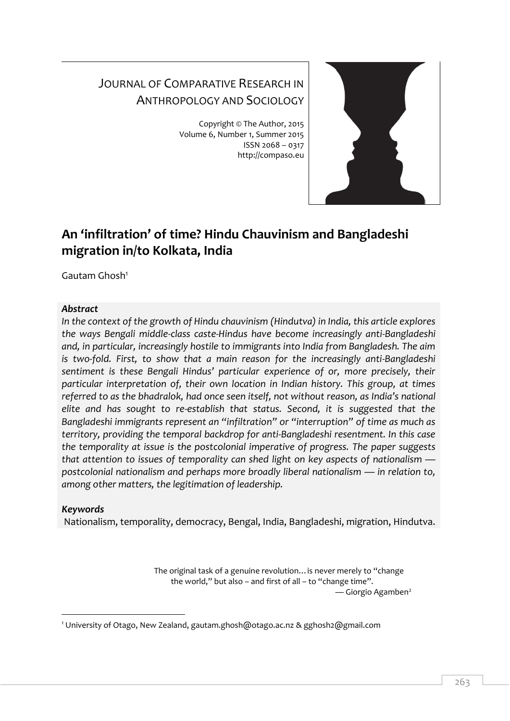# JOURNAL OF COMPARATIVE RESEARCH IN ANTHROPOLOGY AND SOCIOLOGY

Copyright © The Author, 2015 Volume 6, Number 1, Summer 2015 ISSN 2068 – 0317 http://compaso.eu



# **An 'infiltration' of time? Hindu Chauvinism and Bangladeshi migration in/to Kolkata, India**

Gautam Ghosh<sup>1</sup>

# *Abstract*

*In the context of the growth of Hindu chauvinism (Hindutva) in India, this article explores the ways Bengali middle-class caste-Hindus have become increasingly anti-Bangladeshi and, in particular, increasingly hostile to immigrants into India from Bangladesh. The aim is two-fold. First, to show that a main reason for the increasingly anti-Bangladeshi sentiment is these Bengali Hindus' particular experience of or, more precisely, their particular interpretation of, their own location in Indian history. This group, at times referred to as the bhadralok, had once seen itself, not without reason, as India's national elite and has sought to re-establish that status. Second, it is suggested that the Bangladeshi immigrants represent an "infiltration" or "interruption" of time as much as territory, providing the temporal backdrop for anti-Bangladeshi resentment. In this case the temporality at issue is the postcolonial imperative of progress. The paper suggests that attention to issues of temporality can shed light on key aspects of nationalism postcolonial nationalism and perhaps more broadly liberal nationalism — in relation to, among other matters, the legitimation of leadership.*

# *Keywords*

Nationalism, temporality, democracy, Bengal, India, Bangladeshi, migration, Hindutva.

The original task of a genuine revolution…is never merely to "change the world," but also – and first of all – to "change time".  $\sim$  Giorgio Agamben<sup>2</sup>

<sup>-</sup><sup>1</sup> University of Otago, New Zealand, gautam.ghosh@otago.ac.nz & gghosh2@gmail.com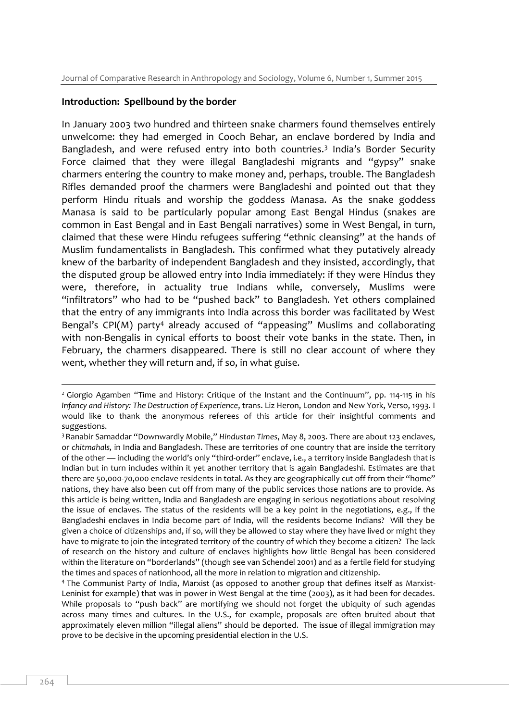#### **Introduction: Spellbound by the border**

In January 2003 two hundred and thirteen snake charmers found themselves entirely unwelcome: they had emerged in Cooch Behar, an enclave bordered by India and Bangladesh, and were refused entry into both countries.<sup>3</sup> India's Border Security Force claimed that they were illegal Bangladeshi migrants and "gypsy" snake charmers entering the country to make money and, perhaps, trouble. The Bangladesh Rifles demanded proof the charmers were Bangladeshi and pointed out that they perform Hindu rituals and worship the goddess Manasa. As the snake goddess Manasa is said to be particularly popular among East Bengal Hindus (snakes are common in East Bengal and in East Bengali narratives) some in West Bengal, in turn, claimed that these were Hindu refugees suffering "ethnic cleansing" at the hands of Muslim fundamentalists in Bangladesh. This confirmed what they putatively already knew of the barbarity of independent Bangladesh and they insisted, accordingly, that the disputed group be allowed entry into India immediately: if they were Hindus they were, therefore, in actuality true Indians while, conversely, Muslims were "infiltrators" who had to be "pushed back" to Bangladesh. Yet others complained that the entry of any immigrants into India across this border was facilitated by West Bengal's CPI(M) party<sup>4</sup> already accused of "appeasing" Muslims and collaborating with non-Bengalis in cynical efforts to boost their vote banks in the state. Then, in February, the charmers disappeared. There is still no clear account of where they went, whether they will return and, if so, in what guise.

<sup>&</sup>lt;sup>2</sup> Giorgio Agamben "Time and History: Critique of the Instant and the Continuum", pp. 114-115 in his *Infancy and History: The Destruction of Experience*, trans. Liz Heron, London and New York, Verso, 1993. I would like to thank the anonymous referees of this article for their insightful comments and suggestions.

<sup>3</sup>Ranabir Samaddar "Downwardly Mobile," *Hindustan Times*, May 8, 2003. There are about 123 enclaves, or *chitmahals,* in India and Bangladesh. These are territories of one country that are inside the territory of the other — including the world's only "third-order" enclave, i.e., a territory inside Bangladesh that is Indian but in turn includes within it yet another territory that is again Bangladeshi. Estimates are that there are 50,000-70,000 enclave residents in total. As they are geographically cut off from their "home" nations, they have also been cut off from many of the public services those nations are to provide. As this article is being written, India and Bangladesh are engaging in serious negotiations about resolving the issue of enclaves. The status of the residents will be a key point in the negotiations, e.g., if the Bangladeshi enclaves in India become part of India, will the residents become Indians? Will they be given a choice of citizenships and, if so, will they be allowed to stay where they have lived or might they have to migrate to join the integrated territory of the country of which they become a citizen? The lack of research on the history and culture of enclaves highlights how little Bengal has been considered within the literature on "borderlands" (though see van Schendel 2001) and as a fertile field for studying the times and spaces of nationhood, all the more in relation to migration and citizenship.

<sup>4</sup> The Communist Party of India, Marxist (as opposed to another group that defines itself as Marxist-Leninist for example) that was in power in West Bengal at the time (2003), as it had been for decades. While proposals to "push back" are mortifying we should not forget the ubiquity of such agendas across many times and cultures. In the U.S., for example, proposals are often bruited about that approximately eleven million "illegal aliens" should be deported. The issue of illegal immigration may prove to be decisive in the upcoming presidential election in the U.S.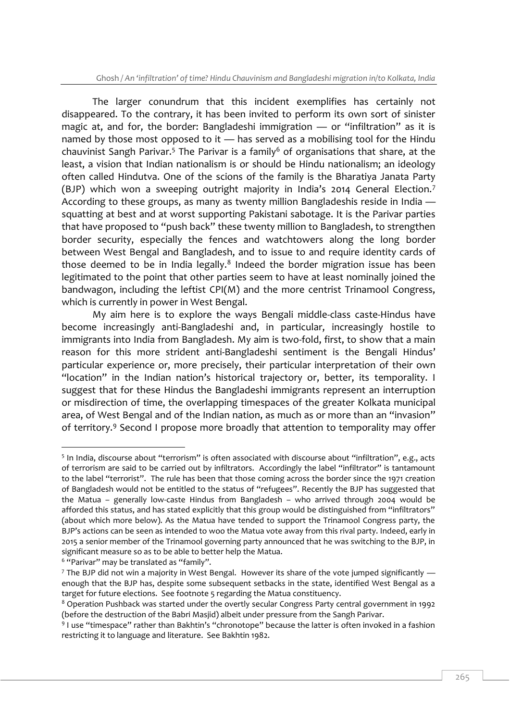The larger conundrum that this incident exemplifies has certainly not disappeared. To the contrary, it has been invited to perform its own sort of sinister magic at, and for, the border: Bangladeshi immigration — or "infiltration" as it is named by those most opposed to it — has served as a mobilising tool for the Hindu chauvinist Sangh Parivar.<sup>5</sup> The Parivar is a family<sup>6</sup> of organisations that share, at the least, a vision that Indian nationalism is or should be Hindu nationalism; an ideology often called Hindutva. One of the scions of the family is the Bharatiya Janata Party (BJP) which won a sweeping outright majority in India's 2014 General Election.<sup>7</sup> According to these groups, as many as twenty million Bangladeshis reside in India squatting at best and at worst supporting Pakistani sabotage. It is the Parivar parties that have proposed to "push back" these twenty million to Bangladesh, to strengthen border security, especially the fences and watchtowers along the long border between West Bengal and Bangladesh, and to issue to and require identity cards of those deemed to be in India legally.<sup>8</sup> Indeed the border migration issue has been legitimated to the point that other parties seem to have at least nominally joined the bandwagon, including the leftist CPI(M) and the more centrist Trinamool Congress, which is currently in power in West Bengal.

My aim here is to explore the ways Bengali middle-class caste-Hindus have become increasingly anti-Bangladeshi and, in particular, increasingly hostile to immigrants into India from Bangladesh. My aim is two-fold, first, to show that a main reason for this more strident anti-Bangladeshi sentiment is the Bengali Hindus' particular experience or, more precisely, their particular interpretation of their own "location" in the Indian nation's historical trajectory or, better, its temporality. I suggest that for these Hindus the Bangladeshi immigrants represent an interruption or misdirection of time, the overlapping timespaces of the greater Kolkata municipal area, of West Bengal and of the Indian nation, as much as or more than an "invasion" of territory. <sup>9</sup> Second I propose more broadly that attention to temporality may offer

<sup>&</sup>lt;sup>5</sup> In India, discourse about "terrorism" is often associated with discourse about "infiltration", e.g., acts of terrorism are said to be carried out by infiltrators. Accordingly the label "infiltrator" is tantamount to the label "terrorist". The rule has been that those coming across the border since the 1971 creation of Bangladesh would not be entitled to the status of "refugees". Recently the BJP has suggested that the Matua – generally low-caste Hindus from Bangladesh – who arrived through 2004 would be afforded this status, and has stated explicitly that this group would be distinguished from "infiltrators" (about which more below). As the Matua have tended to support the Trinamool Congress party, the BJP's actions can be seen as intended to woo the Matua vote away from this rival party. Indeed, early in 2015 a senior member of the Trinamool governing party announced that he was switching to the BJP, in significant measure so as to be able to better help the Matua.

<sup>&</sup>lt;sup>6</sup> "Parivar" may be translated as "family".

 $7$  The BJP did not win a majority in West Bengal. However its share of the vote jumped significantly  $$ enough that the BJP has, despite some subsequent setbacks in the state, identified West Bengal as a target for future elections. See footnote 5 regarding the Matua constituency.

<sup>&</sup>lt;sup>8</sup> Operation Pushback was started under the overtly secular Congress Party central government in 1992 (before the destruction of the Babri Masjid) albeit under pressure from the Sangh Parivar.

<sup>&</sup>lt;sup>9</sup> I use "timespace" rather than Bakhtin's "chronotope" because the latter is often invoked in a fashion restricting it to language and literature. See Bakhtin 1982.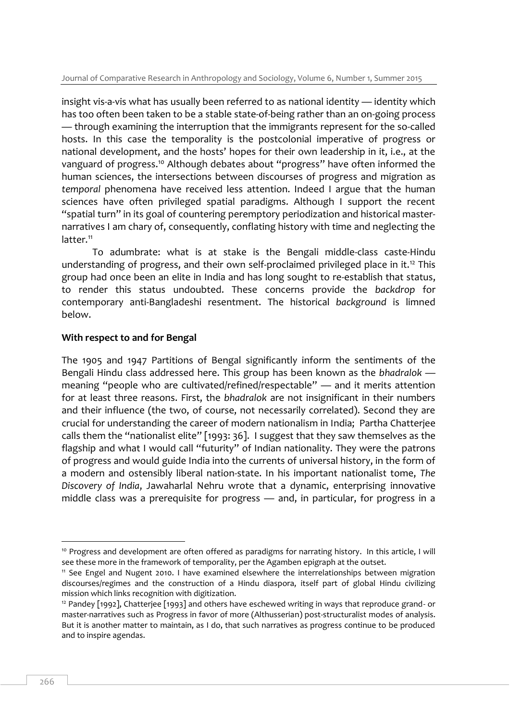insight vis-a-vis what has usually been referred to as national identity — identity which has too often been taken to be a stable state-of-being rather than an on-going process — through examining the interruption that the immigrants represent for the so-called hosts. In this case the temporality is the postcolonial imperative of progress or national development, and the hosts' hopes for their own leadership in it, i.e., at the vanguard of progress.<sup>10</sup> Although debates about "progress" have often informed the human sciences, the intersections between discourses of progress and migration as *temporal* phenomena have received less attention. Indeed I argue that the human sciences have often privileged spatial paradigms. Although I support the recent "spatial turn" in its goal of countering peremptory periodization and historical masternarratives I am chary of, consequently, conflating history with time and neglecting the latter.<sup>11</sup>

To adumbrate: what is at stake is the Bengali middle-class caste-Hindu understanding of progress, and their own self-proclaimed privileged place in it.<sup>12</sup> This group had once been an elite in India and has long sought to re-establish that status, to render this status undoubted. These concerns provide the *backdrop* for contemporary anti-Bangladeshi resentment. The historical *background* is limned below.

### **With respect to and for Bengal**

The 1905 and 1947 Partitions of Bengal significantly inform the sentiments of the Bengali Hindu class addressed here. This group has been known as the *bhadralok* meaning "people who are cultivated/refined/respectable" — and it merits attention for at least three reasons. First, the *bhadralok* are not insignificant in their numbers and their influence (the two, of course, not necessarily correlated). Second they are crucial for understanding the career of modern nationalism in India; Partha Chatterjee calls them the "nationalist elite" [1993: 36]. I suggest that they saw themselves as the flagship and what I would call "futurity" of Indian nationality. They were the patrons of progress and would guide India into the currents of universal history, in the form of a modern and ostensibly liberal nation-state. In his important nationalist tome, *The Discovery of India*, Jawaharlal Nehru wrote that a dynamic, enterprising innovative middle class was a prerequisite for progress — and, in particular, for progress in a

<sup>&</sup>lt;sup>10</sup> Progress and development are often offered as paradigms for narrating history. In this article, I will see these more in the framework of temporality, per the Agamben epigraph at the outset.

<sup>11</sup> See Engel and Nugent 2010. I have examined elsewhere the interrelationships between migration discourses/regimes and the construction of a Hindu diaspora, itself part of global Hindu civilizing mission which links recognition with digitization.

<sup>&</sup>lt;sup>12</sup> Pandey [1992], Chatterjee [1993] and others have eschewed writing in ways that reproduce grand- or master-narratives such as Progress in favor of more (Althusserian) post-structuralist modes of analysis. But it is another matter to maintain, as I do, that such narratives as progress continue to be produced and to inspire agendas.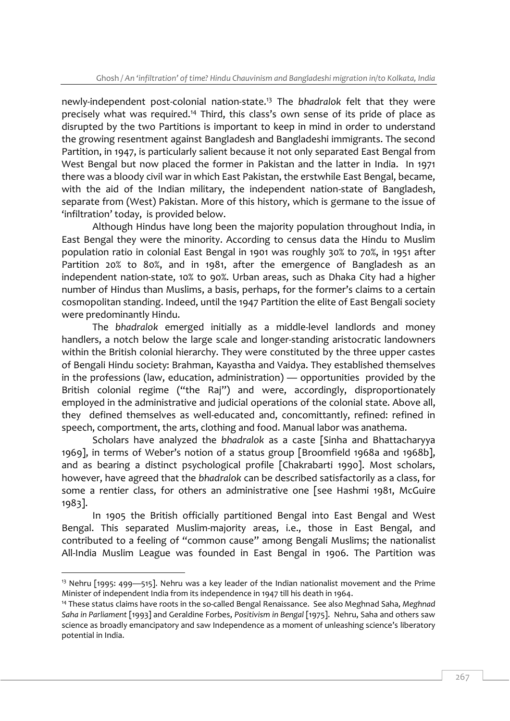newly-independent post-colonial nation-state.<sup>13</sup> The *bhadralok* felt that they were precisely what was required.<sup>14</sup> Third, this class's own sense of its pride of place as disrupted by the two Partitions is important to keep in mind in order to understand the growing resentment against Bangladesh and Bangladeshi immigrants. The second Partition, in 1947, is particularly salient because it not only separated East Bengal from West Bengal but now placed the former in Pakistan and the latter in India. In 1971 there was a bloody civil war in which East Pakistan, the erstwhile East Bengal, became, with the aid of the Indian military, the independent nation-state of Bangladesh, separate from (West) Pakistan. More of this history, which is germane to the issue of 'infiltration' today, is provided below.

Although Hindus have long been the majority population throughout India, in East Bengal they were the minority. According to census data the Hindu to Muslim population ratio in colonial East Bengal in 1901 was roughly 30% to 70%, in 1951 after Partition 20% to 80%, and in 1981, after the emergence of Bangladesh as an independent nation-state, 10% to 90%. Urban areas, such as Dhaka City had a higher number of Hindus than Muslims, a basis, perhaps, for the former's claims to a certain cosmopolitan standing. Indeed, until the 1947 Partition the elite of East Bengali society were predominantly Hindu.

The *bhadralok* emerged initially as a middle-level landlords and money handlers, a notch below the large scale and longer-standing aristocratic landowners within the British colonial hierarchy. They were constituted by the three upper castes of Bengali Hindu society: Brahman, Kayastha and Vaidya. They established themselves in the professions (law, education, administration) — opportunities provided by the British colonial regime ("the Raj") and were, accordingly, disproportionately employed in the administrative and judicial operations of the colonial state. Above all, they defined themselves as well-educated and, concomittantly, refined: refined in speech, comportment, the arts, clothing and food. Manual labor was anathema.

Scholars have analyzed the *bhadralok* as a caste [Sinha and Bhattacharyya 1969], in terms of Weber's notion of a status group [Broomfield 1968a and 1968b], and as bearing a distinct psychological profile [Chakrabarti 1990]. Most scholars, however, have agreed that the *bhadralok* can be described satisfactorily as a class, for some a rentier class, for others an administrative one [see Hashmi 1981, McGuire 1983].

In 1905 the British officially partitioned Bengal into East Bengal and West Bengal. This separated Muslim-majority areas, i.e., those in East Bengal, and contributed to a feeling of "common cause" among Bengali Muslims; the nationalist All-India Muslim League was founded in East Bengal in 1906. The Partition was

<sup>&</sup>lt;sup>13</sup> Nehru [1995: 499—515]. Nehru was a key leader of the Indian nationalist movement and the Prime Minister of independent India from its independence in 1947 till his death in 1964.

<sup>14</sup> These status claims have roots in the so-called Bengal Renaissance. See also Meghnad Saha*, Meghnad Saha in Parliament* [1993] and Geraldine Forbes, *Positivism in Bengal* [1975]. Nehru, Saha and others saw science as broadly emancipatory and saw Independence as a moment of unleashing science's liberatory potential in India.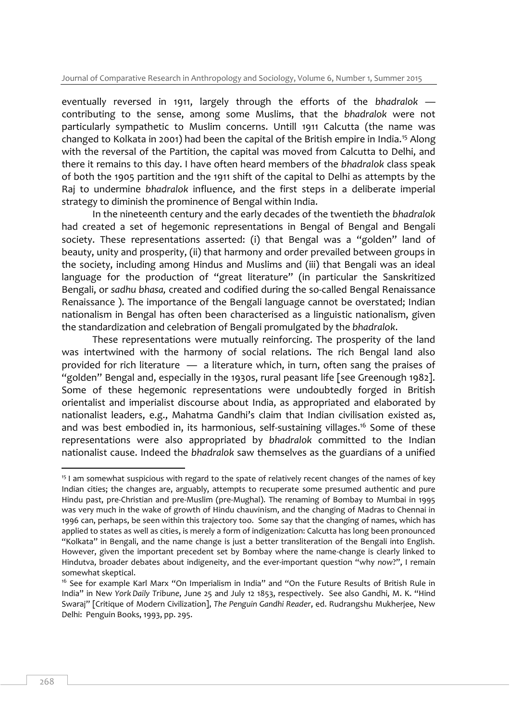eventually reversed in 1911, largely through the efforts of the *bhadralok* contributing to the sense, among some Muslims, that the *bhadralok* were not particularly sympathetic to Muslim concerns. Untill 1911 Calcutta (the name was changed to Kolkata in 2001) had been the capital of the British empire in India.<sup>15</sup> Along with the reversal of the Partition, the capital was moved from Calcutta to Delhi, and there it remains to this day. I have often heard members of the *bhadralok* class speak of both the 1905 partition and the 1911 shift of the capital to Delhi as attempts by the Raj to undermine *bhadralok* influence, and the first steps in a deliberate imperial strategy to diminish the prominence of Bengal within India.

In the nineteenth century and the early decades of the twentieth the *bhadralok* had created a set of hegemonic representations in Bengal of Bengal and Bengali society. These representations asserted: (i) that Bengal was a "golden" land of beauty, unity and prosperity, (ii) that harmony and order prevailed between groups in the society, including among Hindus and Muslims and (iii) that Bengali was an ideal language for the production of "great literature" (in particular the Sanskritized Bengali, or *sadhu bhasa,* created and codified during the so-called Bengal Renaissance Renaissance ). The importance of the Bengali language cannot be overstated; Indian nationalism in Bengal has often been characterised as a linguistic nationalism, given the standardization and celebration of Bengali promulgated by the *bhadralok*.

These representations were mutually reinforcing. The prosperity of the land was intertwined with the harmony of social relations. The rich Bengal land also provided for rich literature — a literature which, in turn, often sang the praises of "golden" Bengal and, especially in the 1930s, rural peasant life [see Greenough 1982]. Some of these hegemonic representations were undoubtedly forged in British orientalist and imperialist discourse about India, as appropriated and elaborated by nationalist leaders, e.g., Mahatma Gandhi's claim that Indian civilisation existed as, and was best embodied in, its harmonious, self-sustaining villages.<sup>16</sup> Some of these representations were also appropriated by *bhadralok* committed to the Indian nationalist cause. Indeed the *bhadralok* saw themselves as the guardians of a unified

<sup>&</sup>lt;sup>15</sup> I am somewhat suspicious with regard to the spate of relatively recent changes of the names of key Indian cities; the changes are, arguably, attempts to recuperate some presumed authentic and pure Hindu past, pre-Christian and pre-Muslim (pre-Mughal). The renaming of Bombay to Mumbai in 1995 was very much in the wake of growth of Hindu chauvinism, and the changing of Madras to Chennai in 1996 can, perhaps, be seen within this trajectory too. Some say that the changing of names, which has applied to states as well as cities, is merely a form of indigenization: Calcutta has long been pronounced "Kolkata" in Bengali, and the name change is just a better transliteration of the Bengali into English. However, given the important precedent set by Bombay where the name-change is clearly linked to Hindutva, broader debates about indigeneity, and the ever-important question "why *now*?", I remain somewhat skeptical.

<sup>&</sup>lt;sup>16</sup> See for example Karl Marx "On Imperialism in India" and "On the Future Results of British Rule in India" in New *York Daily Tribune*, June 25 and July 12 1853, respectively. See also Gandhi, M. K. "Hind Swaraj" [Critique of Modern Civilization], *The Penguin Gandhi Reader*, ed. Rudrangshu Mukherjee, New Delhi: Penguin Books, 1993, pp. 295.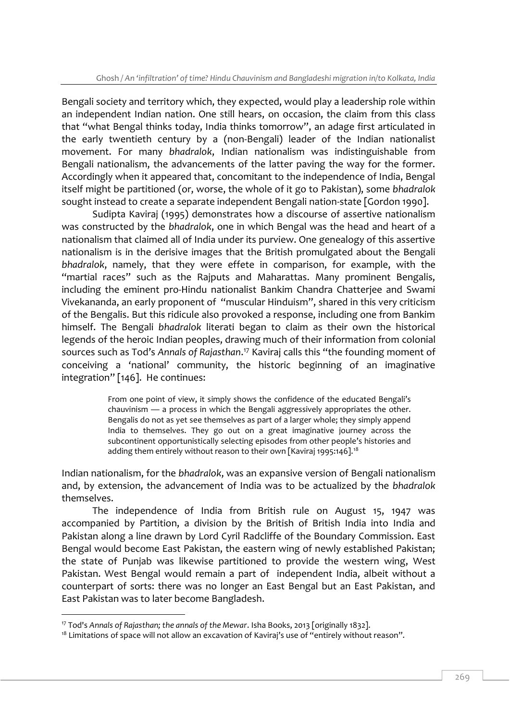Bengali society and territory which, they expected, would play a leadership role within an independent Indian nation. One still hears, on occasion, the claim from this class that "what Bengal thinks today, India thinks tomorrow", an adage first articulated in the early twentieth century by a (non-Bengali) leader of the Indian nationalist movement. For many *bhadralok*, Indian nationalism was indistinguishable from Bengali nationalism, the advancements of the latter paving the way for the former. Accordingly when it appeared that, concomitant to the independence of India, Bengal itself might be partitioned (or, worse, the whole of it go to Pakistan), some *bhadralok* sought instead to create a separate independent Bengali nation-state [Gordon 1990].

Sudipta Kaviraj (1995) demonstrates how a discourse of assertive nationalism was constructed by the *bhadralok*, one in which Bengal was the head and heart of a nationalism that claimed all of India under its purview. One genealogy of this assertive nationalism is in the derisive images that the British promulgated about the Bengali *bhadralok*, namely, that they were effete in comparison, for example, with the "martial races" such as the Rajputs and Maharattas. Many prominent Bengalis, including the eminent pro-Hindu nationalist Bankim Chandra Chatterjee and Swami Vivekananda, an early proponent of "muscular Hinduism", shared in this very criticism of the Bengalis. But this ridicule also provoked a response, including one from Bankim himself. The Bengali *bhadralok* literati began to claim as their own the historical legends of the heroic Indian peoples, drawing much of their information from colonial sources such as Tod's *Annals of Rajasthan*. <sup>17</sup> Kaviraj calls this "the founding moment of conceiving a 'national' community, the historic beginning of an imaginative integration" [146]. He continues:

> From one point of view, it simply shows the confidence of the educated Bengali's chauvinism — a process in which the Bengali aggressively appropriates the other. Bengalis do not as yet see themselves as part of a larger whole; they simply append India to themselves. They go out on a great imaginative journey across the subcontinent opportunistically selecting episodes from other people's histories and adding them entirely without reason to their own [Kaviraj 1995:146].<sup>18</sup>

Indian nationalism, for the *bhadralok*, was an expansive version of Bengali nationalism and, by extension, the advancement of India was to be actualized by the *bhadralok* themselves.

The independence of India from British rule on August 15, 1947 was accompanied by Partition, a division by the British of British India into India and Pakistan along a line drawn by Lord Cyril Radcliffe of the Boundary Commission. East Bengal would become East Pakistan, the eastern wing of newly established Pakistan; the state of Punjab was likewise partitioned to provide the western wing, West Pakistan. West Bengal would remain a part of independent India, albeit without a counterpart of sorts: there was no longer an East Bengal but an East Pakistan, and East Pakistan was to later become Bangladesh.

<sup>17</sup> Tod's *Annals of Rajasthan; the annals of the Mewar*. Isha Books, 2013 [originally 1832].

<sup>&</sup>lt;sup>18</sup> Limitations of space will not allow an excavation of Kaviraj's use of "entirely without reason".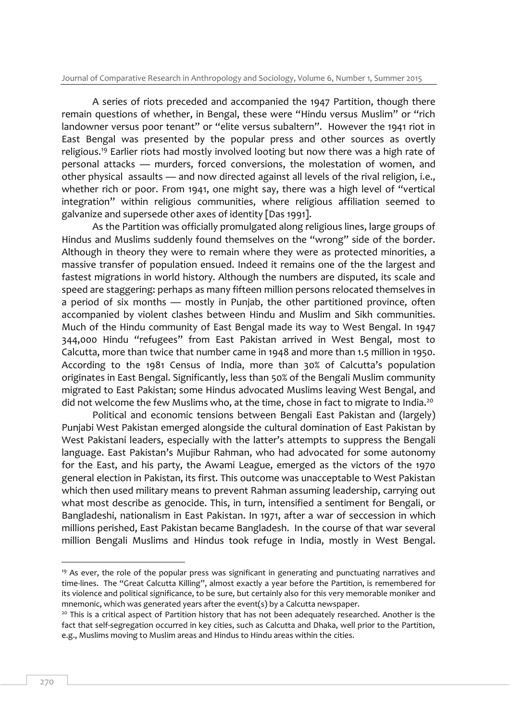A series of riots preceded and accompanied the 1947 Partition, though there remain questions of whether, in Bengal, these were "Hindu versus Muslim" or "rich landowner versus poor tenant" or "elite versus subaltern". However the 1941 riot in East Bengal was presented by the popular press and other sources as overtly religious.<sup>19</sup> Earlier riots had mostly involved looting but now there was a high rate of personal attacks — murders, forced conversions, the molestation of women, and other physical assaults — and now directed against all levels of the rival religion, i.e., whether rich or poor. From 1941, one might say, there was a high level of "vertical integration" within religious communities, where religious affiliation seemed to galvanize and supersede other axes of identity [Das 1991].

As the Partition was officially promulgated along religious lines, large groups of Hindus and Muslims suddenly found themselves on the "wrong" side of the border. Although in theory they were to remain where they were as protected minorities, a massive transfer of population ensued. Indeed it remains one of the the largest and fastest migrations in world history. Although the numbers are disputed, its scale and speed are staggering: perhaps as many fifteen million persons relocated themselves in a period of six months — mostly in Punjab, the other partitioned province, often accompanied by violent clashes between Hindu and Muslim and Sikh communities. Much of the Hindu community of East Bengal made its way to West Bengal. In 1947 344,000 Hindu "refugees" from East Pakistan arrived in West Bengal, most to Calcutta, more than twice that number came in 1948 and more than 1.5 million in 1950. According to the 1981 Census of India, more than 30% of Calcutta's population originates in East Bengal. Significantly, less than 50% of the Bengali Muslim community migrated to East Pakistan; some Hindus advocated Muslims leaving West Bengal, and did not welcome the few Muslims who, at the time, chose in fact to migrate to India.<sup>20</sup>

Political and economic tensions between Bengali East Pakistan and (largely) Punjabi West Pakistan emerged alongside the cultural domination of East Pakistan by West Pakistani leaders, especially with the latter's attempts to suppress the Bengali language. East Pakistan's Mujibur Rahman, who had advocated for some autonomy for the East, and his party, the Awami League, emerged as the victors of the 1970 general election in Pakistan, its first. This outcome was unacceptable to West Pakistan which then used military means to prevent Rahman assuming leadership, carrying out what most describe as genocide. This, in turn, intensified a sentiment for Bengali, or Bangladeshi, nationalism in East Pakistan. In 1971, after a war of seccession in which millions perished, East Pakistan became Bangladesh. In the course of that war several million Bengali Muslims and Hindus took refuge in India, mostly in West Bengal.

 $19$  As ever, the role of the popular press was significant in generating and punctuating narratives and time-lines. The "Great Calcutta Killing", almost exactly a year before the Partition, is remembered for its violence and political significance, to be sure, but certainly also for this very memorable moniker and mnemonic, which was generated years after the event(s) by a Calcutta newspaper.

<sup>&</sup>lt;sup>20</sup> This is a critical aspect of Partition history that has not been adequately researched. Another is the fact that self-segregation occurred in key cities, such as Calcutta and Dhaka, well prior to the Partition, e.g., Muslims moving to Muslim areas and Hindus to Hindu areas within the cities.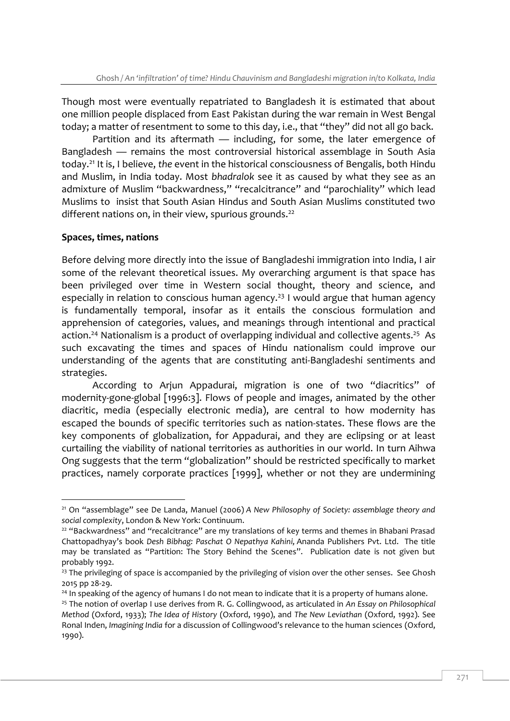Though most were eventually repatriated to Bangladesh it is estimated that about one million people displaced from East Pakistan during the war remain in West Bengal today; a matter of resentment to some to this day, i.e., that "they" did not all go back.

Partition and its aftermath — including, for some, the later emergence of Bangladesh — remains the most controversial historical assemblage in South Asia today. <sup>21</sup> It is, I believe, *the* event in the historical consciousness of Bengalis, both Hindu and Muslim, in India today. Most *bhadralok* see it as caused by what they see as an admixture of Muslim "backwardness," "recalcitrance" and "parochiality" which lead Muslims to insist that South Asian Hindus and South Asian Muslims constituted two different nations on, in their view, spurious grounds.<sup>22</sup>

### **Spaces, times, nations**

<sup>-</sup>

Before delving more directly into the issue of Bangladeshi immigration into India, I air some of the relevant theoretical issues. My overarching argument is that space has been privileged over time in Western social thought, theory and science, and especially in relation to conscious human agency.<sup>23</sup> I would argue that human agency is fundamentally temporal, insofar as it entails the conscious formulation and apprehension of categories, values, and meanings through intentional and practical action.<sup>24</sup> Nationalism is a product of overlapping individual and collective agents.<sup>25</sup> As such excavating the times and spaces of Hindu nationalism could improve our understanding of the agents that are constituting anti-Bangladeshi sentiments and strategies.

According to Arjun Appadurai, migration is one of two "diacritics" of modernity-gone-global [1996:3]. Flows of people and images, animated by the other diacritic, media (especially electronic media), are central to how modernity has escaped the bounds of specific territories such as nation-states. These flows are the key components of globalization, for Appadurai, and they are eclipsing or at least curtailing the viability of national territories as authorities in our world. In turn Aihwa Ong suggests that the term "globalization" should be restricted specifically to market practices, namely corporate practices [1999], whether or not they are undermining

<sup>21</sup> On "assemblage" see De Landa, Manuel (2006) *[A New Philosophy of Society: assemblage theory and](https://books.google.co.in/books?id=TkISBwAAQBAJ&lpg=PP1&dq=A%20New%20Philosophy%20of%20Society%20%3A%20assemblage%20theory%20and%20social%20complexity&pg=PP1#v=onepage&q&f=false)  [social complexity](https://books.google.co.in/books?id=TkISBwAAQBAJ&lpg=PP1&dq=A%20New%20Philosophy%20of%20Society%20%3A%20assemblage%20theory%20and%20social%20complexity&pg=PP1#v=onepage&q&f=false)*, London & New York: Continuum.

<sup>&</sup>lt;sup>22</sup> "Backwardness" and "recalcitrance" are my translations of key terms and themes in Bhabani Prasad Chattopadhyay's book *Desh Bibhag: Paschat O Nepathya Kahini,* Ananda Publishers Pvt. Ltd. The title may be translated as "Partition: The Story Behind the Scenes". Publication date is not given but probably 1992.

<sup>&</sup>lt;sup>23</sup> The privileging of space is accompanied by the privileging of vision over the other senses. See Ghosh 2015 pp 28-29.

<sup>&</sup>lt;sup>24</sup> In speaking of the agency of humans I do not mean to indicate that it is a property of humans alone.

<sup>25</sup> The notion of overlap I use derives from R. G. Collingwood, as articulated in *An Essay on Philosophical Method* (Oxford, 1933); *The Idea of History* (Oxford, 1990), and *The New Leviathan* (Oxford, 1992). See Ronal Inden, *Imagining India* for a discussion of Collingwood's relevance to the human sciences (Oxford, 1990).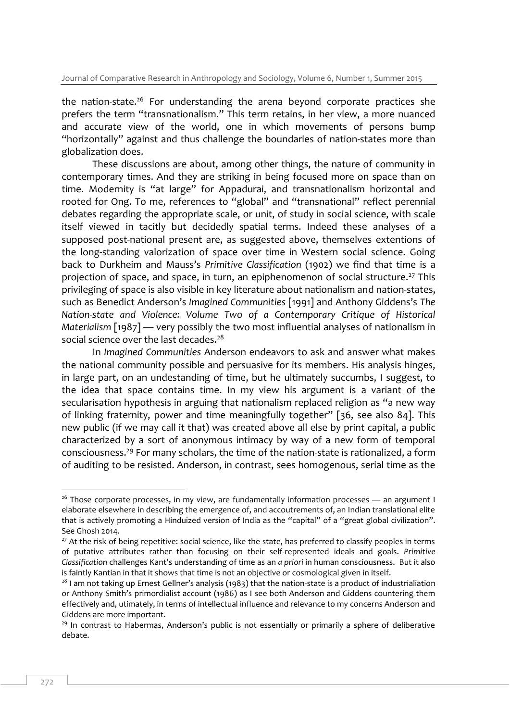the nation-state.<sup>26</sup> For understanding the arena beyond corporate practices she prefers the term "transnationalism." This term retains, in her view, a more nuanced and accurate view of the world, one in which movements of persons bump "horizontally" against and thus challenge the boundaries of nation-states more than globalization does.

These discussions are about, among other things, the nature of community in contemporary times. And they are striking in being focused more on space than on time. Modernity is "at large" for Appadurai, and transnationalism horizontal and rooted for Ong. To me, references to "global" and "transnational" reflect perennial debates regarding the appropriate scale, or unit, of study in social science, with scale itself viewed in tacitly but decidedly spatial terms. Indeed these analyses of a supposed post-national present are, as suggested above, themselves extentions of the long-standing valorization of space over time in Western social science. Going back to Durkheim and Mauss's *Primitive Classification* (1902) we find that time is a projection of space, and space, in turn, an epiphenomenon of social structure.<sup>27</sup> This privileging of space is also visible in key literature about nationalism and nation-states, such as Benedict Anderson's *Imagined Communities* [1991] and Anthony Giddens's *The Nation-state and Violence: Volume Two of a Contemporary Critique of Historical Materialism* [1987] — very possibly the two most influential analyses of nationalism in social science over the last decades.<sup>28</sup>

In *Imagined Communities* Anderson endeavors to ask and answer what makes the national community possible and persuasive for its members. His analysis hinges, in large part, on an undestanding of time, but he ultimately succumbs, I suggest, to the idea that space contains time. In my view his argument is a variant of the secularisation hypothesis in arguing that nationalism replaced religion as "a new way of linking fraternity, power and time meaningfully together" [36, see also 84]. This new public (if we may call it that) was created above all else by print capital, a public characterized by a sort of anonymous intimacy by way of a new form of temporal consciousness.<sup>29</sup> For many scholars, the time of the nation-state is rationalized, a form of auditing to be resisted. Anderson, in contrast, sees homogenous, serial time as the

 $26$  Those corporate processes, in my view, are fundamentally information processes — an argument I elaborate elsewhere in describing the emergence of, and accoutrements of, an Indian translational elite that is actively promoting a Hinduized version of India as the "capital" of a "great global civilization". See Ghosh 2014.

<sup>&</sup>lt;sup>27</sup> At the risk of being repetitive: social science, like the state, has preferred to classify peoples in terms of putative attributes rather than focusing on their self-represented ideals and goals. *Primitive Classification* challenges Kant's understanding of time as an *a priori* in human consciousness. But it also is faintly Kantian in that it shows that time is not an objective or cosmological given in itself.

<sup>&</sup>lt;sup>28</sup> I am not taking up Ernest Gellner's analysis (1983) that the nation-state is a product of industrialiation or Anthony Smith's primordialist account (1986) as I see both Anderson and Giddens countering them effectively and, utimately, in terms of intellectual influence and relevance to my concerns Anderson and Giddens are more important.

 $29$  In contrast to Habermas, Anderson's public is not essentially or primarily a sphere of deliberative debate.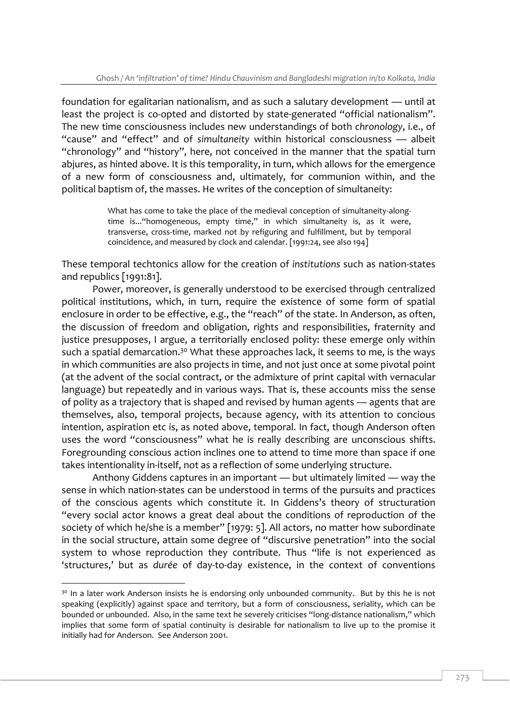foundation for egalitarian nationalism, and as such a salutary development — until at least the project is co-opted and distorted by state-generated "official nationalism". The new time consciousness includes new understandings of both *chronology*, i.e., of "cause" and "effect" and of *simultaneity* within historical consciousness — albeit "chronology" and "history", here, not conceived in the manner that the spatial turn abjures, as hinted above. It is this temporality, in turn, which allows for the emergence of a new form of consciousness and, ultimately, for communion within, and the political baptism of, the masses. He writes of the conception of simultaneity:

> What has come to take the place of the medieval conception of simultaneity-alongtime is..."homogeneous, empty time," in which simultaneity is, as it were, transverse, cross-time, marked not by refiguring and fulfillment, but by temporal coincidence, and measured by clock and calendar. [1991:24, see also 194]

These temporal techtonics allow for the creation of *institutions* such as nation-states and republics [1991:81].

Power, moreover, is generally understood to be exercised through centralized political institutions, which, in turn, require the existence of some form of spatial enclosure in order to be effective, e.g., the "reach" of the state. In Anderson, as often, the discussion of freedom and obligation, rights and responsibilities, fraternity and justice presupposes, I argue, a territorially enclosed polity: these emerge only within such a spatial demarcation.<sup>30</sup> What these approaches lack, it seems to me, is the ways in which communities are also projects in time, and not just once at some pivotal point (at the advent of the social contract, or the admixture of print capital with vernacular language) but repeatedly and in various ways. That is, these accounts miss the sense of polity as a trajectory that is shaped and revised by human agents — agents that are themselves, also, temporal projects, because agency, with its attention to concious intention, aspiration etc is, as noted above, temporal. In fact, though Anderson often uses the word "consciousness" what he is really describing are unconscious shifts. Foregrounding conscious action inclines one to attend to time more than space if one takes intentionality in-itself, not as a reflection of some underlying structure.

Anthony Giddens captures in an important — but ultimately limited — way the sense in which nation-states can be understood in terms of the pursuits and practices of the conscious agents which constitute it. In Giddens's theory of structuration "every social actor knows a great deal about the conditions of reproduction of the society of which he/she is a member" [1979: 5]. All actors, no matter how subordinate in the social structure, attain some degree of "discursive penetration" into the social system to whose reproduction they contribute. Thus "life is not experienced as 'structures,' but as *durée* of day-to-day existence, in the context of conventions

<sup>&</sup>lt;sup>30</sup> In a later work Anderson insists he is endorsing only unbounded community. But by this he is not speaking (explicitly) against space and territory, but a form of consciousness, seriality, which can be bounded or unbounded. Also, in the same text he severely criticises "long-distance nationalism," which implies that some form of spatial continuity is desirable for nationalism to live up to the promise it initially had for Anderson. See Anderson 2001.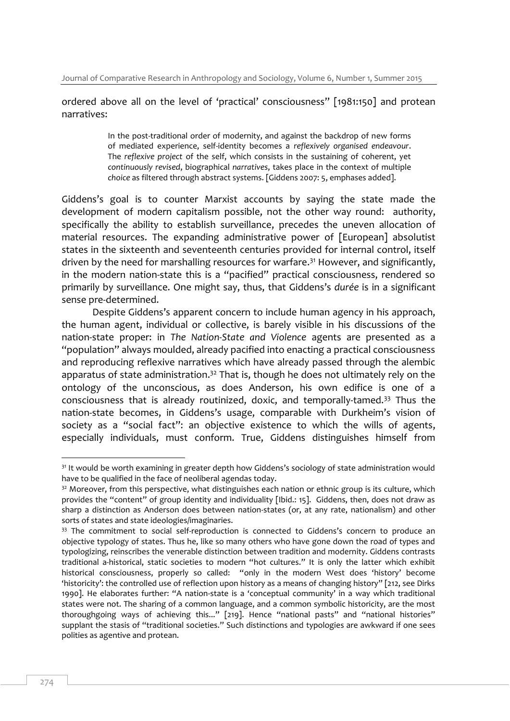### ordered above all on the level of 'practical' consciousness" [1981:150] and protean narratives:

In the post-traditional order of modernity, and against the backdrop of new forms of mediated experience, self-identity becomes a *reflexively organised endeavour*. The *reflexive project* of the self, which consists in the sustaining of coherent, yet *continuously revised*, biographical *narratives*, takes place in the context of multiple *choice* as filtered through abstract systems. [Giddens 2007: 5, emphases added].

Giddens's goal is to counter Marxist accounts by saying the state made the development of modern capitalism possible, not the other way round: authority, specifically the ability to establish surveillance, precedes the uneven allocation of material resources. The expanding administrative power of [European] absolutist states in the sixteenth and seventeenth centuries provided for internal control, itself driven by the need for marshalling resources for warfare. <sup>31</sup> However, and significantly, in the modern nation-state this is a "pacified" practical consciousness, rendered so primarily by surveillance. One might say, thus, that Giddens's *durée* is in a significant sense pre-determined.

Despite Giddens's apparent concern to include human agency in his approach, the human agent, individual or collective, is barely visible in his discussions of the nation-state proper: in *The Nation-State and Violence* agents are presented as a "population" always moulded, already pacified into enacting a practical consciousness and reproducing reflexive narratives which have already passed through the alembic apparatus of state administration.<sup>32</sup> That is, though he does not ultimately rely on the ontology of the unconscious, as does Anderson, his own edifice is one of a consciousness that is already routinized, doxic, and temporally-tamed.<sup>33</sup> Thus the nation-state becomes, in Giddens's usage, comparable with Durkheim's vision of society as a "social fact": an objective existence to which the wills of agents, especially individuals, must conform. True, Giddens distinguishes himself from

<sup>&</sup>lt;sup>31</sup> It would be worth examining in greater depth how Giddens's sociology of state administration would have to be qualified in the face of neoliberal agendas today.

<sup>&</sup>lt;sup>32</sup> Moreover, from this perspective, what distinguishes each nation or ethnic group is its culture, which provides the "content" of group identity and individuality [Ibid.: 15]. Giddens, then, does not draw as sharp a distinction as Anderson does between nation-states (or, at any rate, nationalism) and other sorts of states and state ideologies/imaginaries.

<sup>&</sup>lt;sup>33</sup> The commitment to social self-reproduction is connected to Giddens's concern to produce an objective typology of states. Thus he, like so many others who have gone down the road of types and typologizing, reinscribes the venerable distinction between tradition and modernity. Giddens contrasts traditional a-historical, static societies to modern "hot cultures." It is only the latter which exhibit historical consciousness, properly so called: "only in the modern West does 'history' become 'historicity': the controlled use of reflection upon history as a means of changing history" [212, see Dirks 1990]. He elaborates further: "A nation-state is a 'conceptual community' in a way which traditional states were not. The sharing of a common language, and a common symbolic historicity, are the most thoroughgoing ways of achieving this..." [219]. Hence "national pasts" and "national histories" supplant the stasis of "traditional societies." Such distinctions and typologies are awkward if one sees polities as agentive and protean.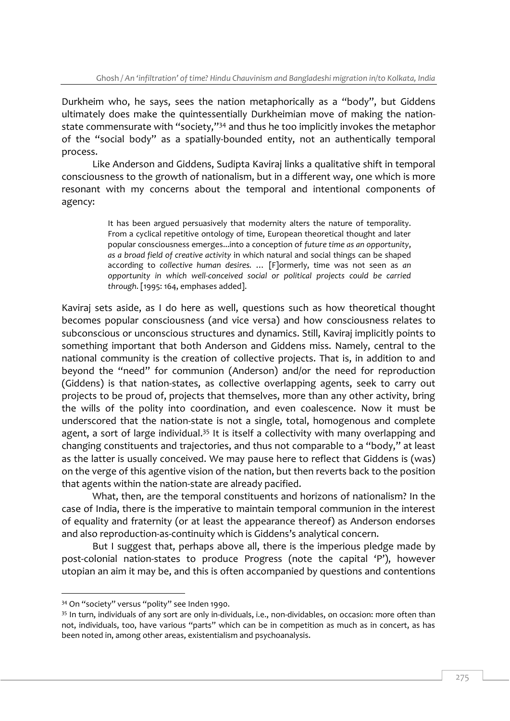Durkheim who, he says, sees the nation metaphorically as a "body", but Giddens ultimately does make the quintessentially Durkheimian move of making the nationstate commensurate with "society,"<sup>34</sup> and thus he too implicitly invokes the metaphor of the "social body" as a spatially-bounded entity, not an authentically temporal process.

Like Anderson and Giddens, Sudipta Kaviraj links a qualitative shift in temporal consciousness to the growth of nationalism, but in a different way, one which is more resonant with my concerns about the temporal and intentional components of agency:

> It has been argued persuasively that modernity alters the nature of temporality. From a cyclical repetitive ontology of time, European theoretical thought and later popular consciousness emerges...into a conception of *future time as an opportunity*, *as a broad field of creative activity* in which natural and social things can be shaped according to *collective human desires.* … [F]ormerly, time was not seen as *an opportunity in which well-conceived social or political projects could be carried through*. [1995: 164, emphases added].

Kaviraj sets aside, as I do here as well, questions such as how theoretical thought becomes popular consciousness (and vice versa) and how consciousness relates to subconscious or unconscious structures and dynamics. Still, Kaviraj implicitly points to something important that both Anderson and Giddens miss. Namely, central to the national community is the creation of collective projects. That is, in addition to and beyond the "need" for communion (Anderson) and/or the need for reproduction (Giddens) is that nation-states, as collective overlapping agents, seek to carry out projects to be proud of, projects that themselves, more than any other activity, bring the wills of the polity into coordination, and even coalescence. Now it must be underscored that the nation-state is not a single, total, homogenous and complete agent, a sort of large individual.<sup>35</sup> It is itself a collectivity with many overlapping and changing constituents and trajectories, and thus not comparable to a "body," at least as the latter is usually conceived. We may pause here to reflect that Giddens is (was) on the verge of this agentive vision of the nation, but then reverts back to the position that agents within the nation-state are already pacified.

What, then, are the temporal constituents and horizons of nationalism? In the case of India, there is the imperative to maintain temporal communion in the interest of equality and fraternity (or at least the appearance thereof) as Anderson endorses and also reproduction-as-continuity which is Giddens's analytical concern.

But I suggest that, perhaps above all, there is the imperious pledge made by post-colonial nation-states to produce Progress (note the capital 'P'), however utopian an aim it may be, and this is often accompanied by questions and contentions

<sup>34</sup> On "society" versus "polity" see Inden 1990.

<sup>&</sup>lt;sup>35</sup> In turn, individuals of any sort are only in-dividuals, i.e., non-dividables, on occasion: more often than not, individuals, too, have various "parts" which can be in competition as much as in concert, as has been noted in, among other areas, existentialism and psychoanalysis.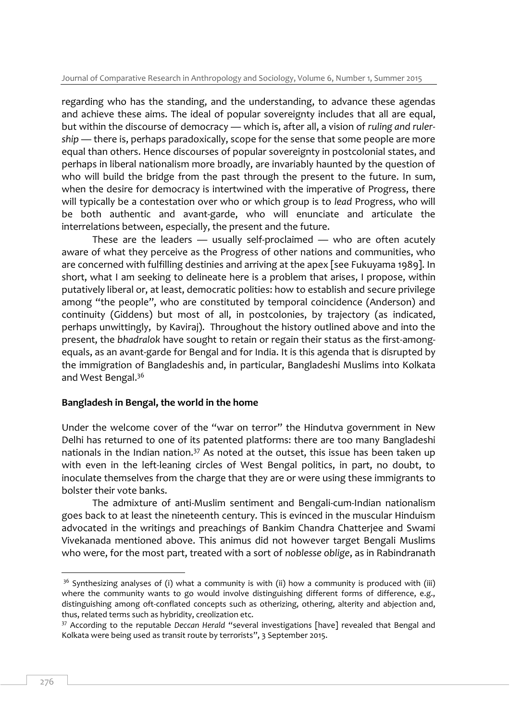regarding who has the standing, and the understanding, to advance these agendas and achieve these aims. The ideal of popular sovereignty includes that all are equal, but within the discourse of democracy — which is, after all, a vision of *ruling and rulership* — there is, perhaps paradoxically, scope for the sense that some people are more equal than others. Hence discourses of popular sovereignty in postcolonial states, and perhaps in liberal nationalism more broadly, are invariably haunted by the question of who will build the bridge from the past through the present to the future. In sum, when the desire for democracy is intertwined with the imperative of Progress, there will typically be a contestation over who or which group is to *lead* Progress, who will be both authentic and avant-garde, who will enunciate and articulate the interrelations between, especially, the present and the future.

These are the leaders — usually self-proclaimed — who are often acutely aware of what they perceive as the Progress of other nations and communities, who are concerned with fulfilling destinies and arriving at the apex [see Fukuyama 1989]. In short, what I am seeking to delineate here is a problem that arises, I propose, within putatively liberal or, at least, democratic polities: how to establish and secure privilege among "the people", who are constituted by temporal coincidence (Anderson) and continuity (Giddens) but most of all, in postcolonies, by trajectory (as indicated, perhaps unwittingly, by Kaviraj). Throughout the history outlined above and into the present, the *bhadralok* have sought to retain or regain their status as the first-amongequals, as an avant-garde for Bengal and for India. It is this agenda that is disrupted by the immigration of Bangladeshis and, in particular, Bangladeshi Muslims into Kolkata and West Bengal. 36

#### **Bangladesh in Bengal, the world in the home**

Under the welcome cover of the "war on terror" the Hindutva government in New Delhi has returned to one of its patented platforms: there are too many Bangladeshi nationals in the Indian nation.<sup>37</sup> As noted at the outset, this issue has been taken up with even in the left-leaning circles of West Bengal politics, in part, no doubt, to inoculate themselves from the charge that they are or were using these immigrants to bolster their vote banks.

The admixture of anti-Muslim sentiment and Bengali-cum-Indian nationalism goes back to at least the nineteenth century. This is evinced in the muscular Hinduism advocated in the writings and preachings of Bankim Chandra Chatterjee and Swami Vivekanada mentioned above. This animus did not however target Bengali Muslims who were, for the most part, treated with a sort of *noblesse oblige*, as in Rabindranath

 $36$  Synthesizing analyses of (i) what a community is with (ii) how a community is produced with (iii) where the community wants to go would involve distinguishing different forms of difference, e.g., distinguishing among oft-conflated concepts such as otherizing, othering, alterity and abjection and, thus, related terms such as hybridity, creolization etc.

<sup>37</sup> According to the reputable *Deccan Herald* "several investigations [have] revealed that Bengal and Kolkata were being used as transit route by terrorists", 3 September 2015.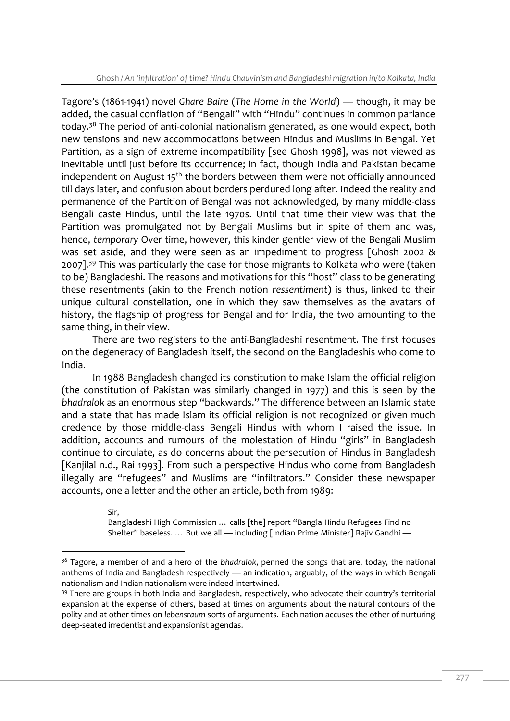Tagore's (1861-1941) novel *Ghare Baire* (*The Home in the World*) — though, it may be added, the casual conflation of "Bengali" with "Hindu" continues in common parlance today.<sup>38</sup> The period of anti-colonial nationalism generated, as one would expect, both new tensions and new accommodations between Hindus and Muslims in Bengal. Yet Partition, as a sign of extreme incompatibility [see Ghosh 1998], was not viewed as inevitable until just before its occurrence; in fact, though India and Pakistan became independent on August  $15<sup>th</sup>$  the borders between them were not officially announced till days later, and confusion about borders perdured long after. Indeed the reality and permanence of the Partition of Bengal was not acknowledged, by many middle-class Bengali caste Hindus, until the late 1970s. Until that time their view was that the Partition was promulgated not by Bengali Muslims but in spite of them and was, hence, *temporary* Over time, however, this kinder gentler view of the Bengali Muslim was set aside, and they were seen as an impediment to progress [Ghosh 2002 & 2007].<sup>39</sup> This was particularly the case for those migrants to Kolkata who were (taken to be) Bangladeshi. The reasons and motivations for this "host" class to be generating these resentments (akin to the French notion *ressentiment***)** is thus, linked to their unique cultural constellation, one in which they saw themselves as the avatars of history, the flagship of progress for Bengal and for India, the two amounting to the same thing, in their view.

There are two registers to the anti-Bangladeshi resentment. The first focuses on the degeneracy of Bangladesh itself, the second on the Bangladeshis who come to India.

In 1988 Bangladesh changed its constitution to make Islam the official religion (the constitution of Pakistan was similarly changed in 1977) and this is seen by the *bhadralok* as an enormous step "backwards." The difference between an Islamic state and a state that has made Islam its official religion is not recognized or given much credence by those middle-class Bengali Hindus with whom I raised the issue. In addition, accounts and rumours of the molestation of Hindu "girls" in Bangladesh continue to circulate, as do concerns about the persecution of Hindus in Bangladesh [Kanjilal n.d., Rai 1993]. From such a perspective Hindus who come from Bangladesh illegally are "refugees" and Muslims are "infiltrators." Consider these newspaper accounts, one a letter and the other an article, both from 1989:

> Sir, Bangladeshi High Commission … calls [the] report "Bangla Hindu Refugees Find no Shelter" baseless. ... But we all — including [Indian Prime Minister] Rajiv Gandhi —

<sup>38</sup> Tagore, a member of and a hero of the *bhadralok*, penned the songs that are, today, the national anthems of India and Bangladesh respectively — an indication, arguably, of the ways in which Bengali nationalism and Indian nationalism were indeed intertwined.

<sup>&</sup>lt;sup>39</sup> There are groups in both India and Bangladesh, respectively, who advocate their country's territorial expansion at the expense of others, based at times on arguments about the natural contours of the polity and at other times on *lebensraum* sorts of arguments. Each nation accuses the other of nurturing deep-seated irredentist and expansionist agendas.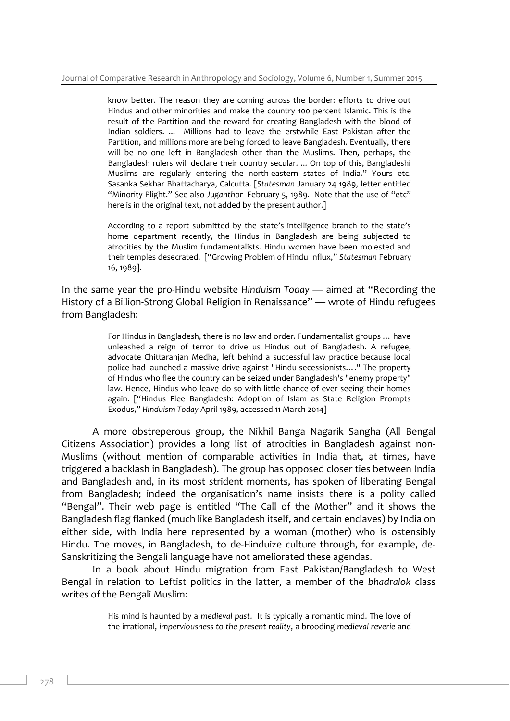know better. The reason they are coming across the border: efforts to drive out Hindus and other minorities and make the country 100 percent Islamic. This is the result of the Partition and the reward for creating Bangladesh with the blood of Indian soldiers. ... Millions had to leave the erstwhile East Pakistan after the Partition, and millions more are being forced to leave Bangladesh. Eventually, there will be no one left in Bangladesh other than the Muslims. Then, perhaps, the Bangladesh rulers will declare their country secular. ... On top of this, Bangladeshi Muslims are regularly entering the north-eastern states of India." Yours etc. Sasanka Sekhar Bhattacharya, Calcutta. [*Statesman* January 24 1989, letter entitled "Minority Plight." See also *Juganthor* February 5, 1989. Note that the use of "etc" here is in the original text, not added by the present author.]

According to a report submitted by the state's intelligence branch to the state's home department recently, the Hindus in Bangladesh are being subjected to atrocities by the Muslim fundamentalists. Hindu women have been molested and their temples desecrated. ["Growing Problem of Hindu Influx," *Statesman* February 16, 1989].

In the same year the pro-Hindu website *Hinduism Today* — aimed at "Recording the History of a Billion-Strong Global Religion in Renaissance" — wrote of Hindu refugees from Bangladesh:

> For Hindus in Bangladesh, there is no law and order. Fundamentalist groups … have unleashed a reign of terror to drive us Hindus out of Bangladesh. A refugee, advocate Chittaranjan Medha, left behind a successful law practice because local police had launched a massive drive against "Hindu secessionists…." The property of Hindus who flee the country can be seized under Bangladesh's "enemy property" law. Hence, Hindus who leave do so with little chance of ever seeing their homes again. ["Hindus Flee Bangladesh: Adoption of Islam as State Religion Prompts Exodus," *Hinduism Today* April 1989, accessed 11 March 2014]

A more obstreperous group, the Nikhil Banga Nagarik Sangha (All Bengal Citizens Association) provides a long list of atrocities in Bangladesh against non-Muslims (without mention of comparable activities in India that, at times, have triggered a backlash in Bangladesh). The group has opposed closer ties between India and Bangladesh and, in its most strident moments, has spoken of liberating Bengal from Bangladesh; indeed the organisation's name insists there is a polity called "Bengal". Their web page is entitled "The Call of the Mother" and it shows the Bangladesh flag flanked (much like Bangladesh itself, and certain enclaves) by India on either side, with India here represented by a woman (mother) who is ostensibly Hindu. The moves, in Bangladesh, to de-Hinduize culture through, for example, de-Sanskritizing the Bengali language have not ameliorated these agendas.

In a book about Hindu migration from East Pakistan/Bangladesh to West Bengal in relation to Leftist politics in the latter, a member of the *bhadralok* class writes of the Bengali Muslim:

> His mind is haunted by a *medieval past*. It is typically a romantic mind. The love of the irrational, *imperviousness to the present reality*, a brooding *medieval reverie* and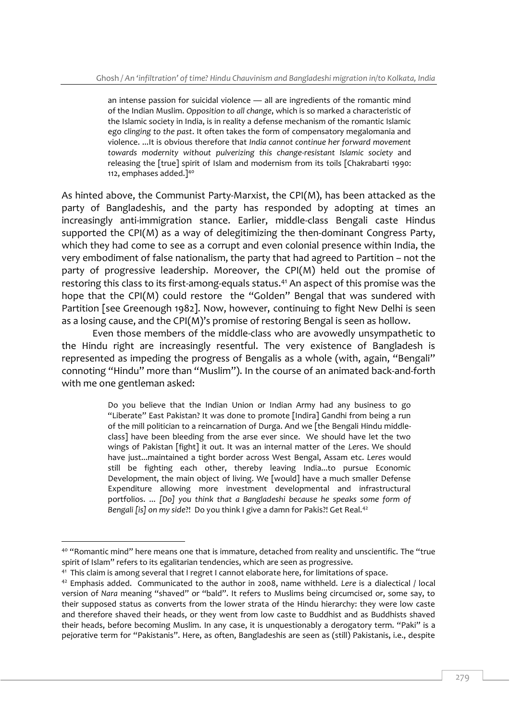an intense passion for suicidal violence — all are ingredients of the romantic mind of the Indian Muslim. *Opposition to all change*, which is so marked a characteristic of the Islamic society in India, is in reality a defense mechanism of the romantic Islamic ego *clinging to the past*. It often takes the form of compensatory megalomania and violence. ...It is obvious therefore that *India cannot continue her forward movement towards modernity without pulverizing this change-resistant Islamic society* and releasing the [true] spirit of Islam and modernism from its toils [Chakrabarti 1990: 112, emphases added.<sup>140</sup>

As hinted above, the Communist Party-Marxist, the CPI(M), has been attacked as the party of Bangladeshis, and the party has responded by adopting at times an increasingly anti-immigration stance. Earlier, middle-class Bengali caste Hindus supported the CPI(M) as a way of delegitimizing the then-dominant Congress Party, which they had come to see as a corrupt and even colonial presence within India, the very embodiment of false nationalism, the party that had agreed to Partition – not the party of progressive leadership. Moreover, the CPI(M) held out the promise of restoring this class to its first-among-equals status.<sup>41</sup> An aspect of this promise was the hope that the CPI(M) could restore the "Golden" Bengal that was sundered with Partition [see Greenough 1982]. Now, however, continuing to fight New Delhi is seen as a losing cause, and the CPI(M)'s promise of restoring Bengal is seen as hollow.

Even those members of the middle-class who are avowedly unsympathetic to the Hindu right are increasingly resentful. The very existence of Bangladesh is represented as impeding the progress of Bengalis as a whole (with, again, "Bengali" connoting "Hindu" more than "Muslim"). In the course of an animated back-and-forth with me one gentleman asked:

> Do you believe that the Indian Union or Indian Army had any business to go "Liberate" East Pakistan? It was done to promote [Indira] Gandhi from being a run of the mill politician to a reincarnation of Durga. And we [the Bengali Hindu middleclass] have been bleeding from the arse ever since. We should have let the two wings of Pakistan [fight] it out. It was an internal matter of the *Leres*. We should have just...maintained a tight border across West Bengal, Assam etc. *Leres* would still be fighting each other, thereby leaving India...to pursue Economic Development, the main object of living. We [would] have a much smaller Defense Expenditure allowing more investment developmental and infrastructural portfolios. ... *[Do] you think that a Bangladeshi because he speaks some form of Bengali [is] on my side*?! Do you think I give a damn for Pakis?! Get Real.<sup>42</sup>

<sup>&</sup>lt;sup>40</sup> "Romantic mind" here means one that is immature, detached from reality and unscientific. The "true spirit of Islam" refers to its egalitarian tendencies, which are seen as progressive.

<sup>&</sup>lt;sup>41</sup> This claim is among several that I regret I cannot elaborate here, for limitations of space.

<sup>42</sup> Emphasis added. Communicated to the author in 2008, name withheld. *Lere* is a dialectical / local version of *Nara* meaning "shaved" or "bald". It refers to Muslims being circumcised or, some say, to their supposed status as converts from the lower strata of the Hindu hierarchy: they were low caste and therefore shaved their heads, or they went from low caste to Buddhist and as Buddhists shaved their heads, before becoming Muslim. In any case, it is unquestionably a derogatory term. "Paki" is a pejorative term for "Pakistanis". Here, as often, Bangladeshis are seen as (still) Pakistanis, i.e., despite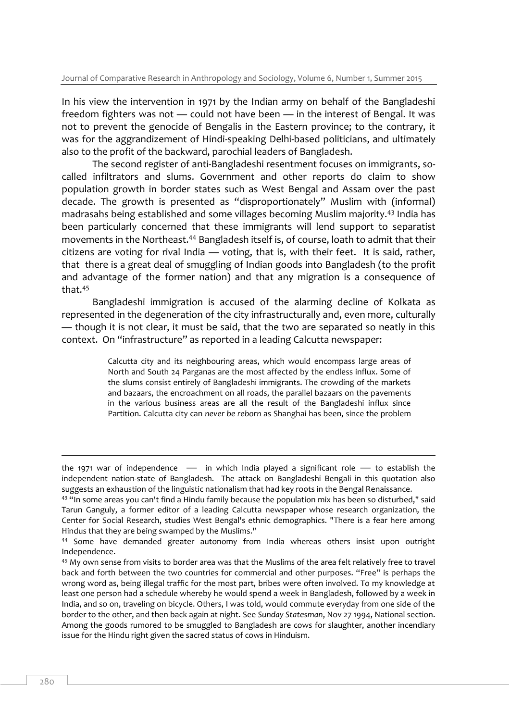In his view the intervention in 1971 by the Indian army on behalf of the Bangladeshi freedom fighters was not — could not have been — in the interest of Bengal. It was not to prevent the genocide of Bengalis in the Eastern province; to the contrary, it was for the aggrandizement of Hindi-speaking Delhi-based politicians, and ultimately also to the profit of the backward, parochial leaders of Bangladesh.

The second register of anti-Bangladeshi resentment focuses on immigrants, socalled infiltrators and slums. Government and other reports do claim to show population growth in border states such as West Bengal and Assam over the past decade. The growth is presented as "disproportionately" Muslim with (informal) madrasahs being established and some villages becoming Muslim majority.<sup>43</sup> India has been particularly concerned that these immigrants will lend support to separatist movements in the Northeast.<sup>44</sup> Bangladesh itself is, of course, loath to admit that their citizens are voting for rival India — voting, that is, with their feet. It is said, rather, that there is a great deal of smuggling of Indian goods into Bangladesh (to the profit and advantage of the former nation) and that any migration is a consequence of that.<sup>45</sup>

Bangladeshi immigration is accused of the alarming decline of Kolkata as represented in the degeneration of the city infrastructurally and, even more, culturally — though it is not clear, it must be said, that the two are separated so neatly in this context. On "infrastructure" as reported in a leading Calcutta newspaper:

> Calcutta city and its neighbouring areas, which would encompass large areas of North and South 24 Parganas are the most affected by the endless influx. Some of the slums consist entirely of Bangladeshi immigrants. The crowding of the markets and bazaars, the encroachment on all roads, the parallel bazaars on the pavements in the various business areas are all the result of the Bangladeshi influx since Partition. Calcutta city can *never be reborn* as Shanghai has been, since the problem

the 1971 war of independence  $-$  in which India played a significant role  $-$  to establish the independent nation-state of Bangladesh. The attack on Bangladeshi Bengali in this quotation also suggests an exhaustion of the linguistic nationalism that had key roots in the Bengal Renaissance.

<sup>43</sup> "In some areas you can't find a Hindu family because the population mix has been so disturbed," said Tarun Ganguly, a former editor of a leading Calcutta newspaper whose research organization, the Center for Social Research, studies West Bengal's ethnic demographics. "There is a fear here among Hindus that they are being swamped by the Muslims."

<sup>44</sup> Some have demanded greater autonomy from India whereas others insist upon outright Independence.

<sup>45</sup> My own sense from visits to border area was that the Muslims of the area felt relatively free to travel back and forth between the two countries for commercial and other purposes. "Free" is perhaps the wrong word as, being illegal traffic for the most part, bribes were often involved. To my knowledge at least one person had a schedule whereby he would spend a week in Bangladesh, followed by a week in India, and so on, traveling on bicycle. Others, I was told, would commute everyday from one side of the border to the other, and then back again at night. See *Sunday Statesman*, Nov 27 1994, National section. Among the goods rumored to be smuggled to Bangladesh are cows for slaughter, another incendiary issue for the Hindu right given the sacred status of cows in Hinduism.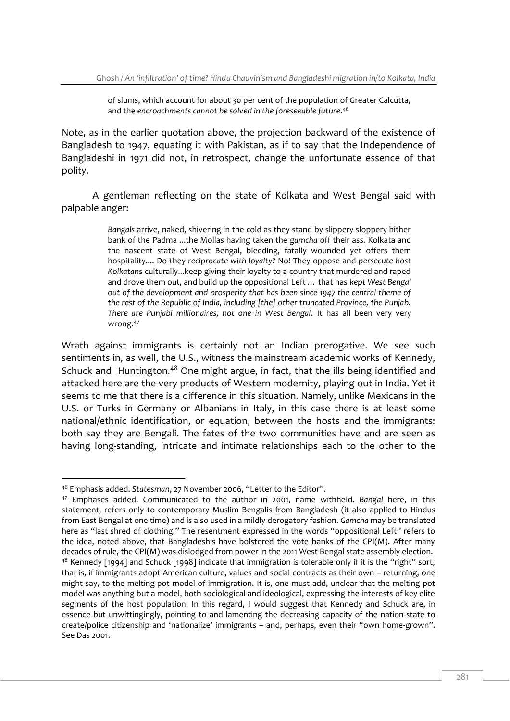of slums, which account for about 30 per cent of the population of Greater Calcutta, and the *encroachments cannot be solved in the foreseeable future*. 46

Note, as in the earlier quotation above, the projection backward of the existence of Bangladesh to 1947, equating it with Pakistan, as if to say that the Independence of Bangladeshi in 1971 did not, in retrospect, change the unfortunate essence of that polity.

A gentleman reflecting on the state of Kolkata and West Bengal said with palpable anger:

> *Bangals* arrive, naked, shivering in the cold as they stand by slippery sloppery hither bank of the Padma ...the Mollas having taken the *gamcha* off their ass. Kolkata and the nascent state of West Bengal, bleeding, fatally wounded yet offers them hospitality.... Do they *reciprocate with loyalty*? No! They oppose and *persecute host Kolkatan*s culturally...keep giving their loyalty to a country that murdered and raped and drove them out, and build up the oppositional Left … that has *kept West Bengal out of the development and prosperity that has been since 1947 the central theme of the rest of the Republic of India, including [the] other truncated Province, the Punjab. There are Punjabi millionaires, not one in West Bengal*. It has all been very very wrong.<sup>47</sup>

Wrath against immigrants is certainly not an Indian prerogative. We see such sentiments in, as well, the U.S., witness the mainstream academic works of Kennedy, Schuck and Huntington.<sup>48</sup> One might argue, in fact, that the ills being identified and attacked here are the very products of Western modernity, playing out in India. Yet it seems to me that there is a difference in this situation. Namely, unlike Mexicans in the U.S. or Turks in Germany or Albanians in Italy, in this case there is at least some national/ethnic identification, or equation, between the hosts and the immigrants: both say they are Bengali. The fates of the two communities have and are seen as having long-standing, intricate and intimate relationships each to the other to the

<sup>-</sup><sup>46</sup> Emphasis added. *Statesman*, 27 November 2006, "Letter to the Editor".

<sup>47</sup> Emphases added. Communicated to the author in 2001, name withheld. *Bangal* here, in this statement, refers only to contemporary Muslim Bengalis from Bangladesh (it also applied to Hindus from East Bengal at one time) and is also used in a mildly derogatory fashion. *Gamcha* may be translated here as "last shred of clothing." The resentment expressed in the words "oppositional Left" refers to the idea, noted above, that Bangladeshis have bolstered the vote banks of the CPI(M). After many decades of rule, the CPI(M) was dislodged from power in the 2011 West Bengal state assembly election.  $48$  Kennedy [1994] and Schuck [1998] indicate that immigration is tolerable only if it is the "right" sort, that is, if immigrants adopt American culture, values and social contracts as their own – returning, one might say, to the melting-pot model of immigration. It is, one must add, unclear that the melting pot model was anything but a model, both sociological and ideological, expressing the interests of key elite segments of the host population. In this regard, I would suggest that Kennedy and Schuck are, in essence but unwittingingly, pointing to and lamenting the decreasing capacity of the nation-state to create/police citizenship and 'nationalize' immigrants – and, perhaps, even their "own home-grown". See Das 2001.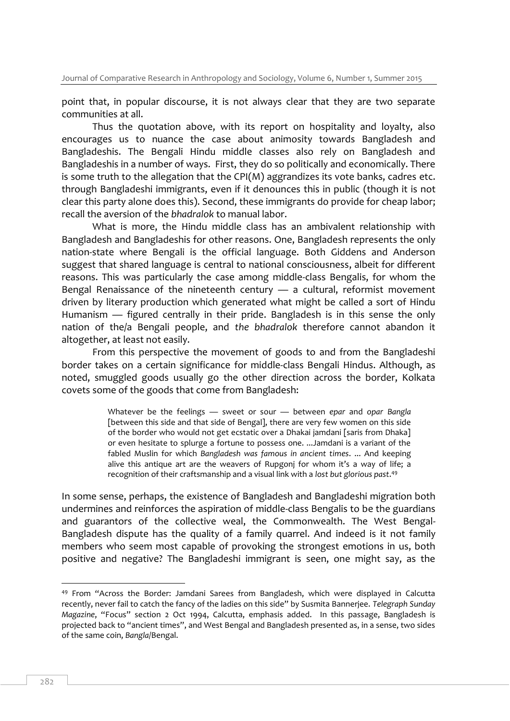point that, in popular discourse, it is not always clear that they are two separate communities at all.

Thus the quotation above, with its report on hospitality and loyalty, also encourages us to nuance the case about animosity towards Bangladesh and Bangladeshis. The Bengali Hindu middle classes also rely on Bangladesh and Bangladeshis in a number of ways. First, they do so politically and economically. There is some truth to the allegation that the CPI(M) aggrandizes its vote banks, cadres etc. through Bangladeshi immigrants, even if it denounces this in public (though it is not clear this party alone does this). Second, these immigrants do provide for cheap labor; recall the aversion of the *bhadralok* to manual labor.

What is more, the Hindu middle class has an ambivalent relationship with Bangladesh and Bangladeshis for other reasons. One, Bangladesh represents the only nation-state where Bengali is the official language. Both Giddens and Anderson suggest that shared language is central to national consciousness, albeit for different reasons. This was particularly the case among middle-class Bengalis, for whom the Bengal Renaissance of the nineteenth century — a cultural, reformist movement driven by literary production which generated what might be called a sort of Hindu Humanism — figured centrally in their pride. Bangladesh is in this sense the only nation of the/a Bengali people, and *the bhadralok* therefore cannot abandon it altogether, at least not easily.

From this perspective the movement of goods to and from the Bangladeshi border takes on a certain significance for middle-class Bengali Hindus. Although, as noted, smuggled goods usually go the other direction across the border, Kolkata covets some of the goods that come from Bangladesh:

> Whatever be the feelings — sweet or sour — between *epar* and *opar Bangla* [between this side and that side of Bengal], there are very few women on this side of the border who would not get ecstatic over a Dhakai jamdani [saris from Dhaka] or even hesitate to splurge a fortune to possess one. ...Jamdani is a variant of the fabled Muslin for which *Bangladesh was famous in ancient times*. ... And keeping alive this antique art are the weavers of Rupgonj for whom it's a way of life; a recognition of their craftsmanship and a visual link with a *lost but glorious past*. 49

In some sense, perhaps, the existence of Bangladesh and Bangladeshi migration both undermines and reinforces the aspiration of middle-class Bengalis to be the guardians and guarantors of the collective weal, the Commonwealth. The West Bengal-Bangladesh dispute has the quality of a family quarrel. And indeed is it not family members who seem most capable of provoking the strongest emotions in us, both positive and negative? The Bangladeshi immigrant is seen, one might say, as the

<sup>49</sup> From "Across the Border: Jamdani Sarees from Bangladesh, which were displayed in Calcutta recently, never fail to catch the fancy of the ladies on this side" by Susmita Bannerjee. *Telegraph Sunday Magazine*, "Focus" section 2 Oct 1994, Calcutta, emphasis added. In this passage, Bangladesh is projected back to "ancient times", and West Bengal and Bangladesh presented as, in a sense, two sides of the same coin, *Bangla*/Bengal.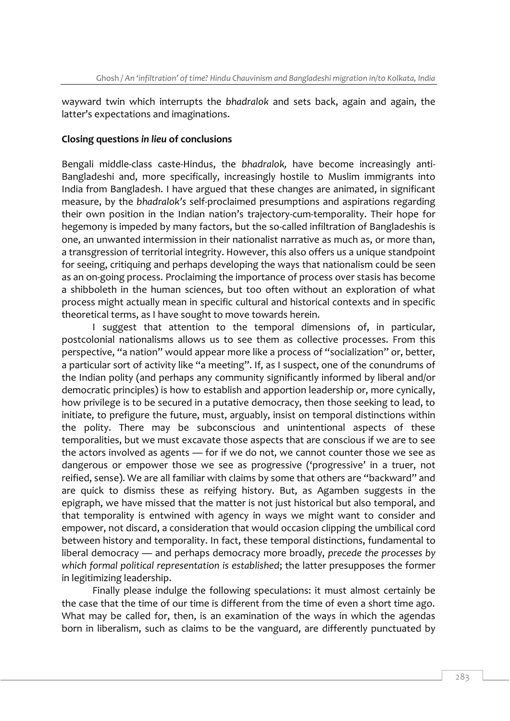wayward twin which interrupts the *bhadralok* and sets back, again and again, the latter's expectations and imaginations.

#### **Closing questions** *in lieu* **of conclusions**

Bengali middle-class caste-Hindus, the *bhadralok,* have become increasingly anti-Bangladeshi and, more specifically, increasingly hostile to Muslim immigrants into India from Bangladesh. I have argued that these changes are animated, in significant measure, by the *bhadralok's* self-proclaimed presumptions and aspirations regarding their own position in the Indian nation's trajectory-cum-temporality. Their hope for hegemony is impeded by many factors, but the so-called infiltration of Bangladeshis is one, an unwanted intermission in their nationalist narrative as much as, or more than, a transgression of territorial integrity. However, this also offers us a unique standpoint for seeing, critiquing and perhaps developing the ways that nationalism could be seen as an on-going process. Proclaiming the importance of process over stasis has become a shibboleth in the human sciences, but too often without an exploration of what process might actually mean in specific cultural and historical contexts and in specific theoretical terms, as I have sought to move towards herein.

I suggest that attention to the temporal dimensions of, in particular, postcolonial nationalisms allows us to see them as collective processes. From this perspective, "a nation" would appear more like a process of "socialization" or, better, a particular sort of activity like "a meeting". If, as I suspect, one of the conundrums of the Indian polity (and perhaps any community significantly informed by liberal and/or democratic principles) is how to establish and apportion leadership or, more cynically, how privilege is to be secured in a putative democracy, then those seeking to lead, to initiate, to prefigure the future, must, arguably, insist on temporal distinctions within the polity. There may be subconscious and unintentional aspects of these temporalities, but we must excavate those aspects that are conscious if we are to see the actors involved as agents — for if we do not, we cannot counter those we see as dangerous or empower those we see as progressive ('progressive' in a truer, not reified, sense). We are all familiar with claims by some that others are "backward" and are quick to dismiss these as reifying history. But, as Agamben suggests in the epigraph, we have missed that the matter is not just historical but also temporal, and that temporality is entwined with agency in ways we might want to consider and empower, not discard, a consideration that would occasion clipping the umbilical cord between history and temporality. In fact, these temporal distinctions, fundamental to liberal democracy — and perhaps democracy more broadly, *precede the processes by which formal political representation is established*; the latter presupposes the former in legitimizing leadership.

Finally please indulge the following speculations: it must almost certainly be the case that the time of our time is different from the time of even a short time ago. What may be called for, then, is an examination of the ways in which the agendas born in liberalism, such as claims to be the vanguard, are differently punctuated by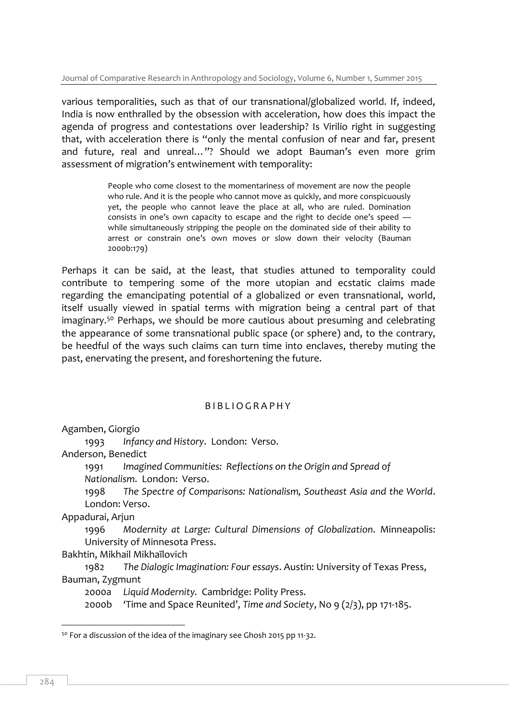various temporalities, such as that of our transnational/globalized world. If, indeed, India is now enthralled by the obsession with acceleration, how does this impact the agenda of progress and contestations over leadership? Is Virilio right in suggesting that, with acceleration there is "only the mental confusion of near and far, present and future, real and unreal…"? Should we adopt Bauman's even more grim assessment of migration's entwinement with temporality:

> People who come closest to the momentariness of movement are now the people who rule. And it is the people who cannot move as quickly, and more conspicuously yet, the people who cannot leave the place at all, who are ruled. Domination consists in one's own capacity to escape and the right to decide one's speed while simultaneously stripping the people on the dominated side of their ability to arrest or constrain one's own moves or slow down their velocity (Bauman 2000b:179)

Perhaps it can be said, at the least, that studies attuned to temporality could contribute to tempering some of the more utopian and ecstatic claims made regarding the emancipating potential of a globalized or even transnational, world, itself usually viewed in spatial terms with migration being a central part of that imaginary.<sup>50</sup> Perhaps, we should be more cautious about presuming and celebrating the appearance of some transnational public space (or sphere) and, to the contrary, be heedful of the ways such claims can turn time into enclaves, thereby muting the past, enervating the present, and foreshortening the future.

# B I B L I O G R A P H Y

Agamben, Giorgio

1993 *Infancy and History*. London: Verso.

Anderson, Benedict

1991 *Imagined Communities: Reflections on the Origin and Spread of*

*Nationalism*. London: Verso.

1998 *The Spectre of Comparisons: Nationalism, Southeast Asia and the World*. London: Verso.

Appadurai, Arjun

1996 *Modernity at Large: Cultural Dimensions of Globalization*. Minneapolis: University of Minnesota Press.

Bakhtin, Mikhail Mikhaĭlovich

1982 *The Dialogic Imagination: Four essays*. Austin: University of Texas Press, Bauman, Zygmunt

2000a *Liquid Modernity.* Cambridge: Polity Press.

2000b 'Time and Space Reunited', *Time and Society*, No 9 (2/3), pp 171-185.

<sup>&</sup>lt;sup>50</sup> For a discussion of the idea of the imaginary see Ghosh 2015 pp 11-32.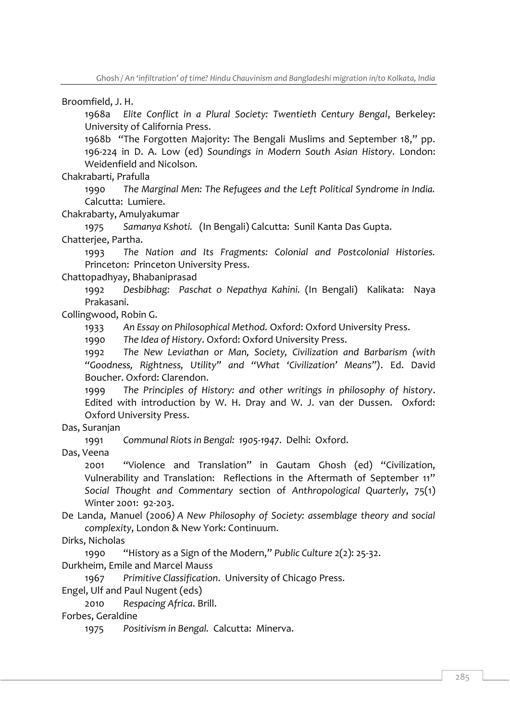Broomfield, J. H.

1968a *Elite Conflict in a Plural Society: Twentieth Century Bengal*, Berkeley: University of California Press.

1968b "The Forgotten Majority: The Bengali Muslims and September 18," pp. 196-224 in D. A. Low (ed) *Soundings in Modern South Asian History*. London: Weidenfield and Nicolson.

Chakrabarti, Prafulla

1990 *The Marginal Men: The Refugees and the Left Political Syndrome in India.* Calcutta: Lumiere.

Chakrabarty, Amulyakumar

1975 *Samanya Kshoti.* (In Bengali) Calcutta: Sunil Kanta Das Gupta. Chatterjee, Partha.

1993 *The Nation and Its Fragments: Colonial and Postcolonial Histories.*  Princeton: Princeton University Press.

Chattopadhyay, Bhabaniprasad

1992 *Desbibhag: Paschat o Nepathya Kahini.* (In Bengali) Kalikata: Naya Prakasani.

Collingwood, Robin G.

1933 *An Essay on Philosophical Method.* Oxford: Oxford University Press.

1990 *The Idea of History*. Oxford: Oxford University Press.

1992 *The New Leviathan or Man, Society, Civilization and Barbarism (with "Goodness, Rightness, Utility" and "What 'Civilization' Means")*. Ed. David Boucher. Oxford: Clarendon.

1999 *The Principles of History: and other writings in philosophy of history*. Edited with introduction by W. H. Dray and W. J. van der Dussen. Oxford: Oxford University Press.

Das, Suranjan

1991 *Communal Riots in Bengal: 1905-1947*. Delhi: Oxford.

Das, Veena

2001 "Violence and Translation" in Gautam Ghosh (ed) "Civilization, Vulnerability and Translation: Reflections in the Aftermath of September 11" *Social Thought and Commentary* section of *Anthropological Quarterly*, 75(1) Winter 2001: 92-203.

De Landa, Manuel (2006*) A New Philosophy of Society: assemblage theory and social complexity*, London & New York: Continuum.

Dirks, Nicholas

1990 "History as a Sign of the Modern," *Public Culture* 2(2): 25-32.

Durkheim, Emile and Marcel Mauss

1967 *Primitive Classification*. University of Chicago Press.

Engel, Ulf and Paul Nugent (eds)

2010 *Respacing Africa*. Brill.

Forbes, Geraldine

1975 *Positivism in Bengal.* Calcutta: Minerva.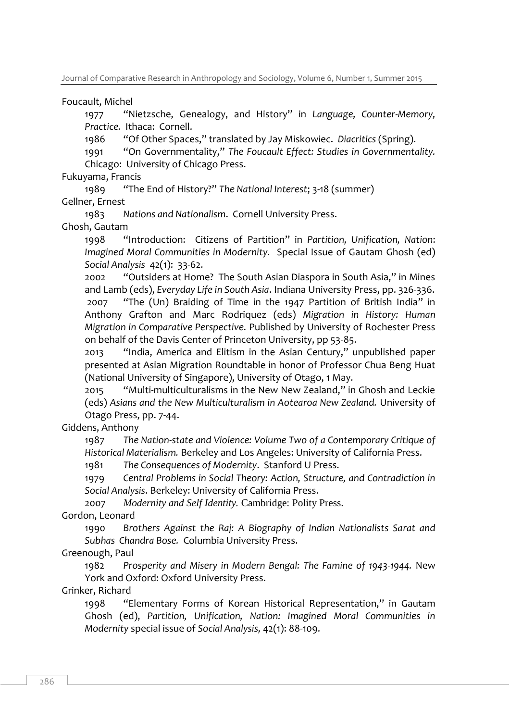Foucault, Michel

1977 "Nietzsche, Genealogy, and History" in *Language, Counter-Memory, Practice.* Ithaca: Cornell.

1986 "Of Other Spaces," translated by Jay Miskowiec. *Diacritics* (Spring).

1991 "On Governmentality," *The Foucault Effect: Studies in Governmentality.* Chicago: University of Chicago Press.

Fukuyama, Francis

1989 "The End of History?" *The National Interest*; 3-18 (summer) Gellner, Ernest

1983 *Nations and Nationalism*. Cornell University Press. Ghosh, Gautam

1998 "Introduction: Citizens of Partition" in *Partition, Unification, Nation*: *Imagined Moral Communities in Modernity.* Special Issue of Gautam Ghosh (ed) *Social Analysis* 42(1): 33-62.

2002 "Outsiders at Home? The South Asian Diaspora in South Asia," in Mines and Lamb (eds), *Everyday Life in South Asia*. Indiana University Press, pp. 326-336. 2007 "The (Un) Braiding of Time in the 1947 Partition of British India" in Anthony Grafton and Marc Rodriquez (eds) *Migration in History: Human Migration in Comparative Perspective.* Published by University of Rochester Press on behalf of the Davis Center of Princeton University, pp 53-85.

2013 "India, America and Elitism in the Asian Century," unpublished paper presented at Asian Migration Roundtable in honor of Professor Chua Beng Huat (National University of Singapore), University of Otago, 1 May.

2015 "Multi-multiculturalisms in the New New Zealand," in Ghosh and Leckie (eds) *Asians and the New Multiculturalism in Aotearoa New Zealand.* University of Otago Press, pp. 7-44.

Giddens, Anthony

1987 *The Nation-state and Violence: Volume Two of a Contemporary Critique of Historical Materialism.* Berkeley and Los Angeles: University of California Press.

1981 *The Consequences of Modernity*. Stanford U Press.

1979 *Central Problems in Social Theory: Action, Structure, and Contradiction in Social Analysis*. Berkeley: University of California Press.

2007 *Modernity and Self Identity.* Cambridge: Polity Press.

Gordon, Leonard

1990 *Brothers Against the Raj: A Biography of Indian Nationalists Sarat and Subhas Chandra Bose.* Columbia University Press.

Greenough, Paul

1982 *Prosperity and Misery in Modern Bengal: The Famine of 1943-1944.* New York and Oxford: Oxford University Press.

Grinker, Richard

1998 "Elementary Forms of Korean Historical Representation," in Gautam Ghosh (ed), *Partition, Unification, Nation: Imagined Moral Communities in Modernity* special issue of *Social Analysis,* 42(1): 88-109.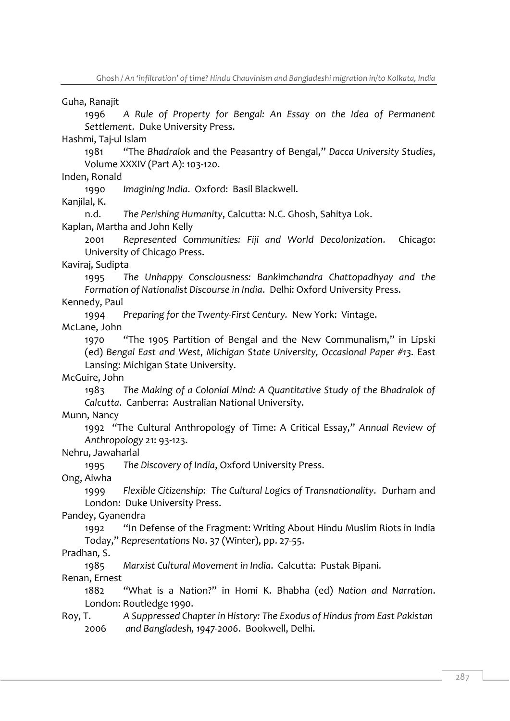Guha, Ranajit

1996 *A Rule of Property for Bengal: An Essay on the Idea of Permanent Settlement*. Duke University Press.

Hashmi, Taj-ul Islam

1981 "The *Bhadralok* and the Peasantry of Bengal," *Dacca University Studies*, Volume XXXIV (Part A): 103-120.

Inden, Ronald

1990 *Imagining India*. Oxford: Basil Blackwell.

Kanjilal, K.

n.d. *The Perishing Humanity*, Calcutta: N.C. Ghosh, Sahitya Lok.

Kaplan, Martha and John Kelly

2001 *Represented Communities: Fiji and World Decolonization*. Chicago: University of Chicago Press.

Kaviraj, Sudipta

1995 *The Unhappy Consciousness: Bankimchandra Chattopadhyay and the Formation of Nationalist Discourse in India*. Delhi: Oxford University Press.

Kennedy, Paul

1994 *Preparing for the Twenty-First Century.* New York: Vintage.

McLane, John

1970 "The 1905 Partition of Bengal and the New Communalism," in Lipski (ed) *Bengal East and West*, *Michigan State University, Occasional Paper #13*. East Lansing: Michigan State University.

McGuire, John

1983 *The Making of a Colonial Mind: A Quantitative Study of the Bhadralok of Calcutta*. Canberra: Australian National University.

Munn, Nancy

1992 "The Cultural Anthropology of Time: A Critical Essay," *Annual Review of Anthropology* 21: 93-123.

Nehru, Jawaharlal

1995 *The Discovery of India*, Oxford University Press.

Ong, Aiwha

1999 *Flexible Citizenship: The Cultural Logics of Transnationality*. Durham and London: Duke University Press.

Pandey, Gyanendra

1992 "In Defense of the Fragment: Writing About Hindu Muslim Riots in India Today," *Representations* No. 37 (Winter), pp. 27-55.

Pradhan*,* S.

1985 *Marxist Cultural Movement in India*. Calcutta: Pustak Bipani.

Renan, Ernest

1882 "What is a Nation?" in Homi K. Bhabha (ed) *Nation and Narration*. London: Routledge 1990.

Roy, T. *A Suppressed Chapter in History: The Exodus of Hindus from East Pakistan*  2006 *and Bangladesh, 1947-2006*. Bookwell, Delhi.